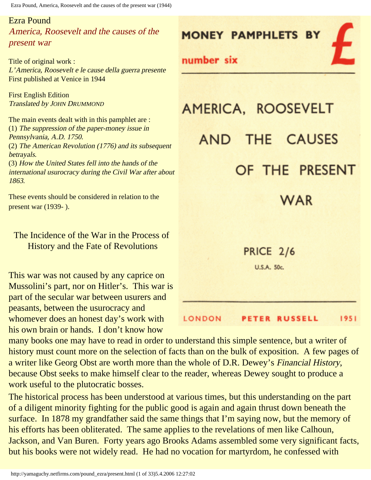Ezra Pound America, Roosevelt and the causes of the present war

Title of original work : L'America, Roosevelt e le cause della guerra presente First published at Venice in 1944

First English Edition Translated by JOHN DRUMMOND

The main events dealt with in this pamphlet are : (1) The suppression of the paper-money issue in Pennsylvania, A.D. 1750. (2) The American Revolution (1776) and its subsequent betrayals. (3) How the United States fell into the hands of the international usurocracy during the Civil War after about <sup>1863</sup>.

These events should be considered in relation to the present war (1939- ).

### The Incidence of the War in the Process of History and the Fate of Revolutions

This war was not caused by any caprice on Mussolini's part, nor on Hitler's. This war is part of the secular war between usurers and peasants, between the usurocracy and whomever does an honest day's work with his own brain or hands. I don't know how

many books one may have to read in order to understand this simple sentence, but a writer of history must count more on the selection of facts than on the bulk of exposition. A few pages of a writer like Georg Obst are worth more than the whole of D.R. Dewey's Financial History, because Obst seeks to make himself clear to the reader, whereas Dewey sought to produce a work useful to the plutocratic bosses.

The historical process has been understood at various times, but this understanding on the part of a diligent minority fighting for the public good is again and again thrust down beneath the surface. In 1878 my grandfather said the same things that I'm saying now, but the memory of his efforts has been obliterated. The same applies to the revelations of men like Calhoun, Jackson, and Van Buren. Forty years ago Brooks Adams assembled some very significant facts, but his books were not widely read. He had no vocation for martyrdom, he confessed with

**MONEY PAMPHLETS BY** 

number six

# AMERICA, ROOSEVELT THE CAUSES **AND** OF THE PRESENT WAR **PRICE 2/6** U.S.A. 50c. **PETER RUSSELL** 1951 LONDON

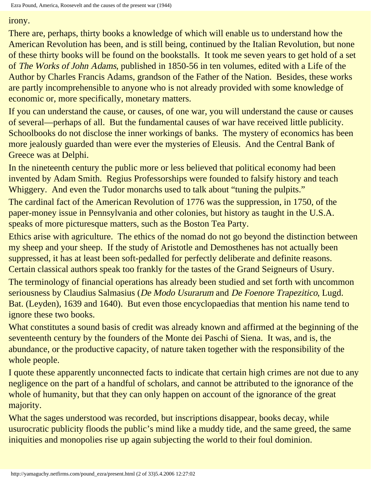irony.

There are, perhaps, thirty books a knowledge of which will enable us to understand how the American Revolution has been, and is still being, continued by the Italian Revolution, but none of these thirty books will be found on the bookstalls. It took me seven years to get hold of a set of The Works of John Adams, published in 1850-56 in ten volumes, edited with a Life of the Author by Charles Francis Adams, grandson of the Father of the Nation. Besides, these works are partly incomprehensible to anyone who is not already provided with some knowledge of economic or, more specifically, monetary matters.

If you can understand the cause, or causes, of one war, you will understand the cause or causes of several—perhaps of all. But the fundamental causes of war have received little publicity. Schoolbooks do not disclose the inner workings of banks. The mystery of economics has been more jealously guarded than were ever the mysteries of Eleusis. And the Central Bank of Greece was at Delphi.

In the nineteenth century the public more or less believed that political economy had been invented by Adam Smith. Regius Professorships were founded to falsify history and teach Whiggery. And even the Tudor monarchs used to talk about "tuning the pulpits."

The cardinal fact of the American Revolution of 1776 was the suppression, in 1750, of the paper-money issue in Pennsylvania and other colonies, but history as taught in the U.S.A. speaks of more picturesque matters, such as the Boston Tea Party.

Ethics arise with agriculture. The ethics of the nomad do not go beyond the distinction between my sheep and your sheep. If the study of Aristotle and Demosthenes has not actually been suppressed, it has at least been soft-pedalled for perfectly deliberate and definite reasons. Certain classical authors speak too frankly for the tastes of the Grand Seigneurs of Usury.

The terminology of financial operations has already been studied and set forth with uncommon seriousness by Claudius Salmasius (De Modo Usurarum and De Foenore Trapezitico, Lugd. Bat. (Leyden), 1639 and 1640). But even those encyclopaedias that mention his name tend to ignore these two books.

What constitutes a sound basis of credit was already known and affirmed at the beginning of the seventeenth century by the founders of the Monte dei Paschi of Siena. It was, and is, the abundance, or the productive capacity, of nature taken together with the responsibility of the whole people.

I quote these apparently unconnected facts to indicate that certain high crimes are not due to any negligence on the part of a handful of scholars, and cannot be attributed to the ignorance of the whole of humanity, but that they can only happen on account of the ignorance of the great majority.

What the sages understood was recorded, but inscriptions disappear, books decay, while usurocratic publicity floods the public's mind like a muddy tide, and the same greed, the same iniquities and monopolies rise up again subjecting the world to their foul dominion.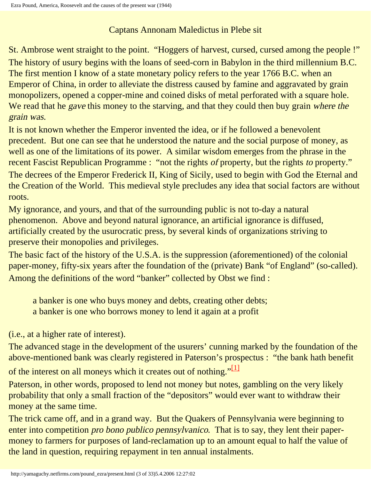#### Captans Annonam Maledictus in Plebe sit

St. Ambrose went straight to the point. "Hoggers of harvest, cursed, cursed among the people !" The history of usury begins with the loans of seed-corn in Babylon in the third millennium B.C. The first mention I know of a state monetary policy refers to the year 1766 B.C. when an Emperor of China, in order to alleviate the distress caused by famine and aggravated by grain monopolizers, opened a copper-mine and coined disks of metal perforated with a square hole. We read that he gave this money to the starving, and that they could then buy grain where the grain was.

It is not known whether the Emperor invented the idea, or if he followed a benevolent precedent. But one can see that he understood the nature and the social purpose of money, as well as one of the limitations of its power. A similar wisdom emerges from the phrase in the recent Fascist Republican Programme : "not the rights of property, but the rights to property." The decrees of the Emperor Frederick II, King of Sicily, used to begin with God the Eternal and the Creation of the World. This medieval style precludes any idea that social factors are without roots.

My ignorance, and yours, and that of the surrounding public is not to-day a natural phenomenon. Above and beyond natural ignorance, an artificial ignorance is diffused, artificially created by the usurocratic press, by several kinds of organizations striving to preserve their monopolies and privileges.

The basic fact of the history of the U.S.A. is the suppression (aforementioned) of the colonial paper-money, fifty-six years after the foundation of the (private) Bank "of England" (so-called). Among the definitions of the word "banker" collected by Obst we find :

a banker is one who buys money and debts, creating other debts; a banker is one who borrows money to lend it again at a profit

(i.e., at a higher rate of interest).

The advanced stage in the development of the usurers' cunning marked by the foundation of the above-mentioned bank was clearly registered in Paterson's prospectus : "the bank hath benefit

of the interest on all moneys which it creates out of nothing."<sup>[\[1\]](#page-15-0)</sup>

Paterson, in other words, proposed to lend not money but notes, gambling on the very likely probability that only a small fraction of the "depositors" would ever want to withdraw their money at the same time.

The trick came off, and in a grand way. But the Quakers of Pennsylvania were beginning to enter into competition *pro bono publico pennsylvanico*. That is to say, they lent their papermoney to farmers for purposes of land-reclamation up to an amount equal to half the value of the land in question, requiring repayment in ten annual instalments.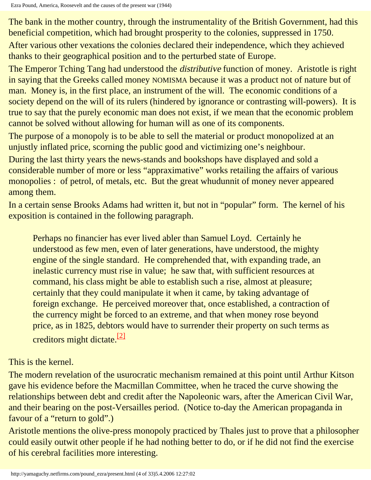The bank in the mother country, through the instrumentality of the British Government, had this beneficial competition, which had brought prosperity to the colonies, suppressed in 1750. After various other vexations the colonies declared their independence, which they achieved thanks to their geographical position and to the perturbed state of Europe.

The Emperor Tching Tang had understood the distributive function of money. Aristotle is right in saying that the Greeks called money NOMISMA because it was a product not of nature but of man. Money is, in the first place, an instrument of the will. The economic conditions of a society depend on the will of its rulers (hindered by ignorance or contrasting will-powers). It is true to say that the purely economic man does not exist, if we mean that the economic problem cannot be solved without allowing for human will as one of its components.

The purpose of a monopoly is to be able to sell the material or product monopolized at an unjustly inflated price, scorning the public good and victimizing one's neighbour.

During the last thirty years the news-stands and bookshops have displayed and sold a considerable number of more or less "appraximative" works retailing the affairs of various monopolies : of petrol, of metals, etc. But the great whudunnit of money never appeared among them.

In a certain sense Brooks Adams had written it, but not in "popular" form. The kernel of his exposition is contained in the following paragraph.

Perhaps no financier has ever lived abler than Samuel Loyd. Certainly he understood as few men, even of later generations, have understood, the mighty engine of the single standard. He comprehended that, with expanding trade, an inelastic currency must rise in value; he saw that, with sufficient resources at command, his class might be able to establish such a rise, almost at pleasure; certainly that they could manipulate it when it came, by taking advantage of foreign exchange. He perceived moreover that, once established, a contraction of the currency might be forced to an extreme, and that when money rose beyond price, as in 1825, debtors would have to surrender their property on such terms as creditors might dictate.[\[2\]](#page-15-1)

This is the kernel.

The modern revelation of the usurocratic mechanism remained at this point until Arthur Kitson gave his evidence before the Macmillan Committee, when he traced the curve showing the relationships between debt and credit after the Napoleonic wars, after the American Civil War, and their bearing on the post-Versailles period. (Notice to-day the American propaganda in favour of a "return to gold".)

Aristotle mentions the olive-press monopoly practiced by Thales just to prove that a philosopher could easily outwit other people if he had nothing better to do, or if he did not find the exercise of his cerebral facilities more interesting.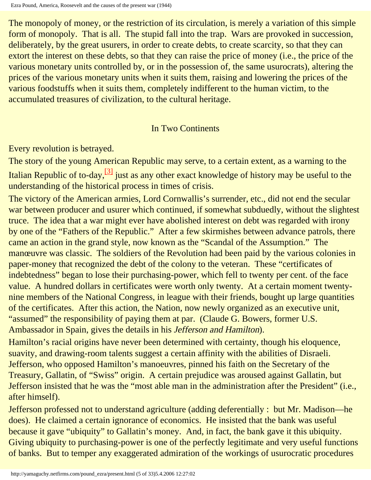The monopoly of money, or the restriction of its circulation, is merely a variation of this simple form of monopoly. That is all. The stupid fall into the trap. Wars are provoked in succession, deliberately, by the great usurers, in order to create debts, to create scarcity, so that they can extort the interest on these debts, so that they can raise the price of money (i.e., the price of the various monetary units controlled by, or in the possession of, the same usurocrats), altering the prices of the various monetary units when it suits them, raising and lowering the prices of the various foodstuffs when it suits them, completely indifferent to the human victim, to the accumulated treasures of civilization, to the cultural heritage.

#### In Two Continents

Every revolution is betrayed.

The story of the young American Republic may serve, to a certain extent, as a warning to the Italian Republic of to-day[,\[3\]](#page-15-2) just as any other exact knowledge of history may be useful to the understanding of the historical process in times of crisis.

The victory of the American armies, Lord Cornwallis's surrender, etc., did not end the secular war between producer and usurer which continued, if somewhat subduedly, without the slightest truce. The idea that a war might ever have abolished interest on debt was regarded with irony by one of the "Fathers of the Republic." After a few skirmishes between advance patrols, there came an action in the grand style, now known as the "Scandal of the Assumption." The manœuvre was classic. The soldiers of the Revolution had been paid by the various colonies in paper-money that recognized the debt of the colony to the veteran. These "certificates of indebtedness" began to lose their purchasing-power, which fell to twenty per cent. of the face value. A hundred dollars in certificates were worth only twenty. At a certain moment twentynine members of the National Congress, in league with their friends, bought up large quantities of the certificates. After this action, the Nation, now newly organized as an executive unit, "assumed" the responsibility of paying them at par. (Claude G. Bowers, former U.S.) Ambassador in Spain, gives the details in his Jefferson and Hamilton).

Hamilton's racial origins have never been determined with certainty, though his eloquence, suavity, and drawing-room talents suggest a certain affinity with the abilities of Disraeli. Jefferson, who opposed Hamilton's manoeuvres, pinned his faith on the Secretary of the Treasury, Gallatin, of "Swiss" origin. A certain prejudice was aroused against Gallatin, but Jefferson insisted that he was the "most able man in the administration after the President" (i.e., after himself).

Jefferson professed not to understand agriculture (adding deferentially : but Mr. Madison—he does). He claimed a certain ignorance of economics. He insisted that the bank was useful because it gave "ubiquity" to Gallatin's money. And, in fact, the bank gave it this ubiquity. Giving ubiquity to purchasing-power is one of the perfectly legitimate and very useful functions of banks. But to temper any exaggerated admiration of the workings of usurocratic procedures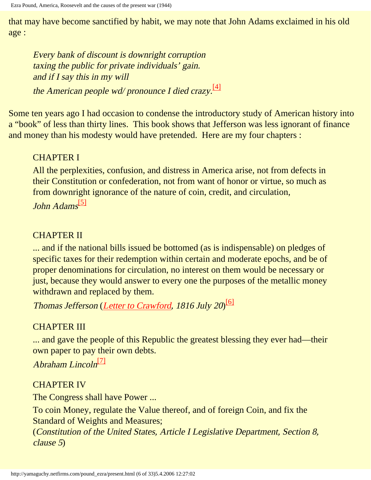that may have become sanctified by habit, we may note that John Adams exclaimed in his old age :

Every bank of discount is downright corruption taxing the public for private individuals' gain. and if I say this in my will the American people wd/ pronounce I died crazy.<sup>[\[4\]](#page-15-3)</sup>

Some ten years ago I had occasion to condense the introductory study of American history into a "book" of less than thirty lines. This book shows that Jefferson was less ignorant of finance and money than his modesty would have pretended. Here are my four chapters :

# CHAPTER I

All the perplexities, confusion, and distress in America arise, not from defects in their Constitution or confederation, not from want of honor or virtue, so much as from downright ignorance of the nature of coin, credit, and circulation,

John Adams<sup>[\[5\]](#page-15-4)</sup>

# CHAPTER II

... and if the national bills issued be bottomed (as is indispensable) on pledges of specific taxes for their redemption within certain and moderate epochs, and be of proper denominations for circulation, no interest on them would be necessary or just, because they would answer to every one the purposes of the metallic money withdrawn and replaced by them.

Thomas Jefferson ([Letter to Crawford](http://yamaguchy.netfirms.com/jefferson/1816b.html), 1816 July 20)<sup>[\[6\]](#page-15-5)</sup>

# CHAPTER III

... and gave the people of this Republic the greatest blessing they ever had—their own paper to pay their own debts.

Abraham Lincoln<sup>[\[7\]](#page-15-6)</sup>

# CHAPTER IV

The Congress shall have Power ...

To coin Money, regulate the Value thereof, and of foreign Coin, and fix the Standard of Weights and Measures;

(Constitution of the United States, Article I Legislative Department, Section 8, clause 5)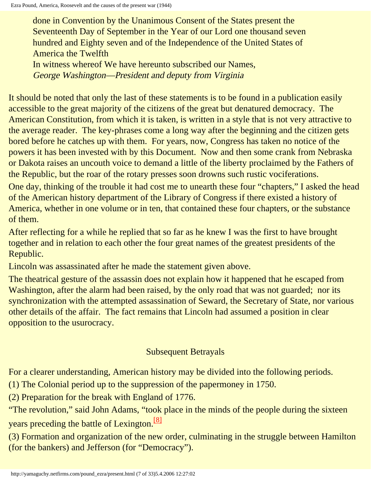done in Convention by the Unanimous Consent of the States present the Seventeenth Day of September in the Year of our Lord one thousand seven hundred and Eighty seven and of the Independence of the United States of America the Twelfth In witness whereof We have hereunto subscribed our Names,

George Washington—President and deputy from Virginia

It should be noted that only the last of these statements is to be found in a publication easily accessible to the great majority of the citizens of the great but denatured democracy. The American Constitution, from which it is taken, is written in a style that is not very attractive to the average reader. The key-phrases come a long way after the beginning and the citizen gets bored before he catches up with them. For years, now, Congress has taken no notice of the powers it has been invested with by this Document. Now and then some crank from Nebraska or Dakota raises an uncouth voice to demand a little of the liberty proclaimed by the Fathers of the Republic, but the roar of the rotary presses soon drowns such rustic vociferations.

One day, thinking of the trouble it had cost me to unearth these four "chapters," I asked the head of the American history department of the Library of Congress if there existed a history of America, whether in one volume or in ten, that contained these four chapters, or the substance of them.

After reflecting for a while he replied that so far as he knew I was the first to have brought together and in relation to each other the four great names of the greatest presidents of the Republic.

Lincoln was assassinated after he made the statement given above.

The theatrical gesture of the assassin does not explain how it happened that he escaped from Washington, after the alarm had been raised, by the only road that was not guarded; nor its synchronization with the attempted assassination of Seward, the Secretary of State, nor various other details of the affair. The fact remains that Lincoln had assumed a position in clear opposition to the usurocracy.

## Subsequent Betrayals

For a clearer understanding, American history may be divided into the following periods.

(1) The Colonial period up to the suppression of the papermoney in 1750.

(2) Preparation for the break with England of 1776.

"The revolution," said John Adams, "took place in the minds of the people during the sixteen years preceding the battle of Lexington.<sup>[8]</sup>

(3) Formation and organization of the new order, culminating in the struggle between Hamilton (for the bankers) and Jefferson (for "Democracy").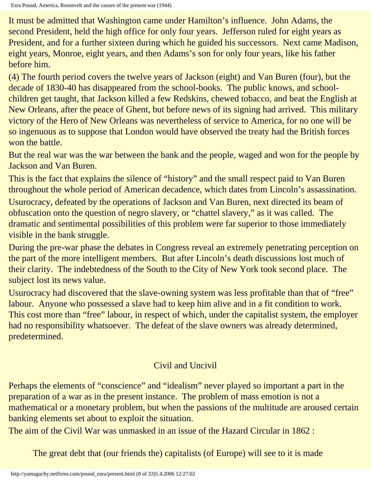It must be admitted that Washington came under Hamilton's influence. John Adams, the second President, held the high office for only four years. Jefferson ruled for eight years as President, and for a further sixteen during which he guided his successors. Next came Madison, eight years, Monroe, eight years, and then Adams's son for only four years, like his father before him.

(4) The fourth period covers the twelve years of Jackson (eight) and Van Buren (four), but the decade of 1830-40 has disappeared from the school-books. The public knows, and schoolchildren get taught, that Jackson killed a few Redskins, chewed tobacco, and beat the English at New Orleans, after the peace of Ghent, but before news of its signing had arrived. This military victory of the Hero of New Orleans was nevertheless of service to America, for no one will be so ingenuous as to suppose that London would have observed the treaty had the British forces won the battle.

But the real war was the war between the bank and the people, waged and won for the people by Jackson and Van Buren.

This is the fact that explains the silence of "history" and the small respect paid to Van Buren throughout the whole period of American decadence, which dates from Lincoln's assassination.

Usurocracy, defeated by the operations of Jackson and Van Buren, next directed its beam of obfuscation onto the question of negro slavery, or "chattel slavery," as it was called. The dramatic and sentimental possibilities of this problem were far superior to those immediately visible in the bank struggle.

During the pre-war phase the debates in Congress reveal an extremely penetrating perception on the part of the more intelligent members. But after Lincoln's death discussions lost much of their clarity. The indebtedness of the South to the City of New York took second place. The subject lost its news value.

Usurocracy had discovered that the slave-owning system was less profitable than that of "free" labour. Anyone who possessed a slave had to keep him alive and in a fit condition to work. This cost more than "free" labour, in respect of which, under the capitalist system, the employer had no responsibility whatsoever. The defeat of the slave owners was already determined, predetermined.

## Civil and Uncivil

Perhaps the elements of "conscience" and "idealism" never played so important a part in the preparation of a war as in the present instance. The problem of mass emotion is not a mathematical or a monetary problem, but when the passions of the multitude are aroused certain banking elements set about to exploit the situation.

The aim of the Civil War was unmasked in an issue of the Hazard Circular in 1862 :

The great debt that (our friends the) capitalists (of Europe) will see to it is made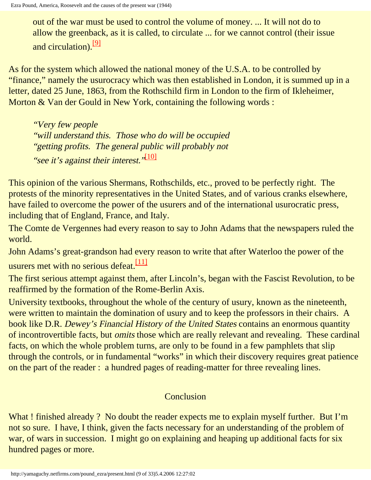out of the war must be used to control the volume of money. ... It will not do to allow the greenback, as it is called, to circulate ... for we cannot control (their issue and circulation).<sup>[\[9\]](#page-15-8)</sup>

As for the system which allowed the national money of the U.S.A. to be controlled by "finance," namely the usurocracy which was then established in London, it is summed up in a letter, dated 25 June, 1863, from the Rothschild firm in London to the firm of Ikleheimer, Morton & Van der Gould in New York, containing the following words :

"Very few people "will understand this. Those who do will be occupied "getting profits. The general public will probably not "see it's against their interest." $\frac{100}{100}$ 

This opinion of the various Shermans, Rothschilds, etc., proved to be perfectly right. The protests of the minority representatives in the United States, and of various cranks elsewhere, have failed to overcome the power of the usurers and of the international usurocratic press, including that of England, France, and Italy.

The Comte de Vergennes had every reason to say to John Adams that the newspapers ruled the world.

John Adams's great-grandson had every reason to write that after Waterloo the power of the usurers met with no serious defeat.<sup>[11]</sup>

The first serious attempt against them, after Lincoln's, began with the Fascist Revolution, to be reaffirmed by the formation of the Rome-Berlin Axis.

University textbooks, throughout the whole of the century of usury, known as the nineteenth, were written to maintain the domination of usury and to keep the professors in their chairs. A book like D.R. Dewey's Financial History of the United States contains an enormous quantity of incontrovertible facts, but omits those which are really relevant and revealing. These cardinal facts, on which the whole problem turns, are only to be found in a few pamphlets that slip through the controls, or in fundamental "works" in which their discovery requires great patience on the part of the reader : a hundred pages of reading-matter for three revealing lines.

#### **Conclusion**

What ! finished already ? No doubt the reader expects me to explain myself further. But I'm not so sure. I have, I think, given the facts necessary for an understanding of the problem of war, of wars in succession. I might go on explaining and heaping up additional facts for six hundred pages or more.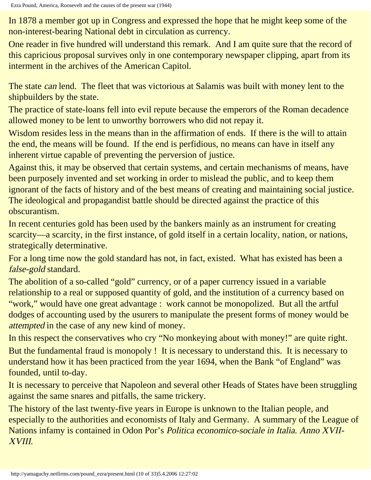In 1878 a member got up in Congress and expressed the hope that he might keep some of the non-interest-bearing National debt in circulation as currency.

One reader in five hundred will understand this remark. And I am quite sure that the record of this capricious proposal survives only in one contemporary newspaper clipping, apart from its interment in the archives of the American Capitol.

The state can lend. The fleet that was victorious at Salamis was built with money lent to the shipbuilders by the state.

The practice of state-loans fell into evil repute because the emperors of the Roman decadence allowed money to be lent to unworthy borrowers who did not repay it.

Wisdom resides less in the means than in the affirmation of ends. If there is the will to attain the end, the means will be found. If the end is perfidious, no means can have in itself any inherent virtue capable of preventing the perversion of justice.

Against this, it may be observed that certain systems, and certain mechanisms of means, have been purposely invented and set working in order to mislead the public, and to keep them ignorant of the facts of history and of the best means of creating and maintaining social justice. The ideological and propagandist battle should be directed against the practice of this obscurantism.

In recent centuries gold has been used by the bankers mainly as an instrument for creating scarcity—a scarcity, in the first instance, of gold itself in a certain locality, nation, or nations, strategically determinative.

For a long time now the gold standard has not, in fact, existed. What has existed has been a false-gold standard.

The abolition of a so-called "gold" currency, or of a paper currency issued in a variable relationship to a real or supposed quantity of gold, and the institution of a currency based on "work," would have one great advantage : work cannot be monopolized. But all the artful dodges of accounting used by the usurers to manipulate the present forms of money would be attempted in the case of any new kind of money.

In this respect the conservatives who cry "No monkeying about with money!" are quite right. But the fundamental fraud is monopoly ! It is necessary to understand this. It is necessary to understand how it has been practiced from the year 1694, when the Bank "of England" was founded, until to-day.

It is necessary to perceive that Napoleon and several other Heads of States have been struggling against the same snares and pitfalls, the same trickery.

The history of the last twenty-five years in Europe is unknown to the Italian people, and especially to the authorities and economists of Italy and Germany. A summary of the League of Nations infamy is contained in Odon Por's Politica economico-sociale in Italia. Anno XVII-XVIII.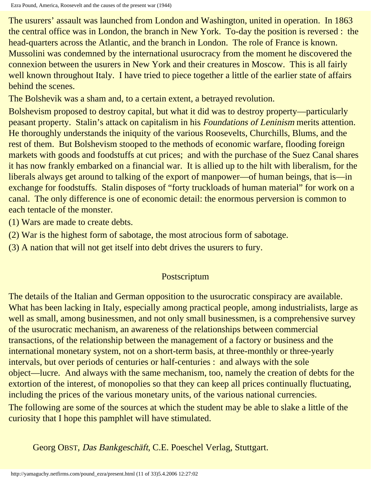The usurers' assault was launched from London and Washington, united in operation. In 1863 the central office was in London, the branch in New York. To-day the position is reversed : the head-quarters across the Atlantic, and the branch in London. The role of France is known. Mussolini was condemned by the international usurocracy from the moment he discovered the connexion between the usurers in New York and their creatures in Moscow. This is all fairly well known throughout Italy. I have tried to piece together a little of the earlier state of affairs behind the scenes.

The Bolshevik was a sham and, to a certain extent, a betrayed revolution.

Bolshevism proposed to destroy capital, but what it did was to destroy property—particularly peasant property. Stalin's attack on capitalism in his Foundations of Leninism merits attention. He thoroughly understands the iniquity of the various Roosevelts, Churchills, Blums, and the rest of them. But Bolshevism stooped to the methods of economic warfare, flooding foreign markets with goods and foodstuffs at cut prices; and with the purchase of the Suez Canal shares it has now frankly embarked on a financial war. It is allied up to the hilt with liberalism, for the liberals always get around to talking of the export of manpower—of human beings, that is—in exchange for foodstuffs. Stalin disposes of "forty truckloads of human material" for work on a canal. The only difference is one of economic detail: the enormous perversion is common to each tentacle of the monster.

(1) Wars are made to create debts.

- (2) War is the highest form of sabotage, the most atrocious form of sabotage.
- (3) A nation that will not get itself into debt drives the usurers to fury.

#### Postscriptum

The details of the Italian and German opposition to the usurocratic conspiracy are available. What has been lacking in Italy, especially among practical people, among industrialists, large as well as small, among businessmen, and not only small businessmen, is a comprehensive survey of the usurocratic mechanism, an awareness of the relationships between commercial transactions, of the relationship between the management of a factory or business and the international monetary system, not on a short-term basis, at three-monthly or three-yearly intervals, but over periods of centuries or half-centuries : and always with the sole object—lucre. And always with the same mechanism, too, namely the creation of debts for the extortion of the interest, of monopolies so that they can keep all prices continually fluctuating, including the prices of the various monetary units, of the various national currencies. The following are some of the sources at which the student may be able to slake a little of the curiosity that I hope this pamphlet will have stimulated.

Georg OBST, Das Bankgeschäft, C.E. Poeschel Verlag, Stuttgart.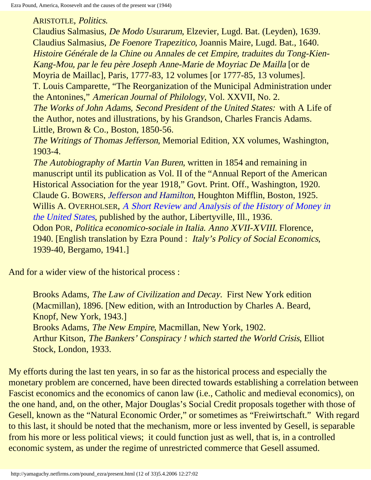ARISTOTLE, Politics.

Claudius Salmasius, De Modo Usurarum, Elzevier, Lugd. Bat. (Leyden), 1639. Claudius Salmasius, De Foenore Trapezitico, Joannis Maire, Lugd. Bat., 1640. Histoire Générale de la Chine ou Annales de cet Empire, traduites du Tong-Kien-Kang-Mou, par le feu père Joseph Anne-Marie de Moyriac De Mailla [or de Moyria de Maillac], Paris, 1777-83, 12 volumes [or 1777-85, 13 volumes]. T. Louis Camparette, "The Reorganization of the Municipal Administration under the Antonines," American Journal of Philology, Vol. XXVII, No. 2. The Works of John Adams, Second President of the United States: with A Life of the Author, notes and illustrations, by his Grandson, Charles Francis Adams. Little, Brown & Co., Boston, 1850-56. The Writings of Thomas Jefferson, Memorial Edition, XX volumes, Washington, 1903-4.

The Autobiography of Martin Van Buren, written in 1854 and remaining in manuscript until its publication as Vol. II of the "Annual Report of the American Historical Association for the year 1918," Govt. Print. Off., Washington, 1920. Claude G. BOWERS, Jefferson and Hamilton, Houghton Mifflin, Boston, 1925. Willis A. OVERHOLSER, A Short Review and Analysis of the History of Money in the United States, published by the author, Libertyville, Ill., 1936. Odon POR, Politica economico-sociale in Italia. Anno XVII-XVIII. Florence, 1940. [English translation by Ezra Pound : Italy's Policy of Social Economics, 1939-40, Bergamo, 1941.]

And for a wider view of the historical process :

Brooks Adams, The Law of Civilization and Decay. First New York edition (Macmillan), 1896. [New edition, with an Introduction by Charles A. Beard, Knopf, New York, 1943.] Brooks Adams, The New Empire, Macmillan, New York, 1902. Arthur Kitson, The Bankers' Conspiracy ! which started the World Crisis, Elliot Stock, London, 1933.

My efforts during the last ten years, in so far as the historical process and especially the monetary problem are concerned, have been directed towards establishing a correlation between Fascist economics and the economics of canon law (i.e., Catholic and medieval economics), on the one hand, and, on the other, Major Douglas's Social Credit proposals together with those of Gesell, known as the "Natural Economic Order," or sometimes as "Freiwirtschaft." With regard to this last, it should be noted that the mechanism, more or less invented by Gesell, is separable from his more or less political views; it could function just as well, that is, in a controlled economic system, as under the regime of unrestricted commerce that Gesell assumed.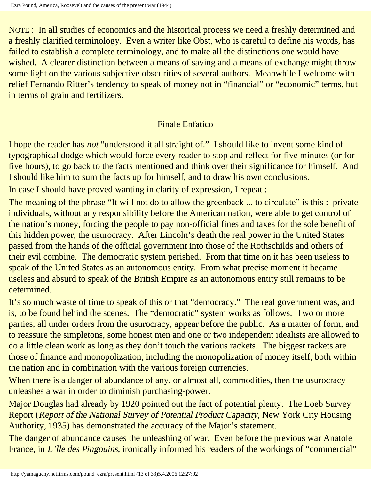NOTE : In all studies of economics and the historical process we need a freshly determined and a freshly clarified terminology. Even a writer like Obst, who is careful to define his words, has failed to establish a complete terminology, and to make all the distinctions one would have wished. A clearer distinction between a means of saving and a means of exchange might throw some light on the various subjective obscurities of several authors. Meanwhile I welcome with relief Fernando Ritter's tendency to speak of money not in "financial" or "economic" terms, but in terms of grain and fertilizers.

# Finale Enfatico

I hope the reader has not "understood it all straight of." I should like to invent some kind of typographical dodge which would force every reader to stop and reflect for five minutes (or for five hours), to go back to the facts mentioned and think over their significance for himself. And I should like him to sum the facts up for himself, and to draw his own conclusions.

In case I should have proved wanting in clarity of expression, I repeat :

The meaning of the phrase "It will not do to allow the greenback ... to circulate" is this : private individuals, without any responsibility before the American nation, were able to get control of the nation's money, forcing the people to pay non-official fines and taxes for the sole benefit of this hidden power, the usurocracy. After Lincoln's death the real power in the United States passed from the hands of the official government into those of the Rothschilds and others of their evil combine. The democratic system perished. From that time on it has been useless to speak of the United States as an autonomous entity. From what precise moment it became useless and absurd to speak of the British Empire as an autonomous entity still remains to be determined.

It's so much waste of time to speak of this or that "democracy." The real government was, and is, to be found behind the scenes. The "democratic" system works as follows. Two or more parties, all under orders from the usurocracy, appear before the public. As a matter of form, and to reassure the simpletons, some honest men and one or two independent idealists are allowed to do a little clean work as long as they don't touch the various rackets. The biggest rackets are those of finance and monopolization, including the monopolization of money itself, both within the nation and in combination with the various foreign currencies.

When there is a danger of abundance of any, or almost all, commodities, then the usurocracy unleashes a war in order to diminish purchasing-power.

Major Douglas had already by 1920 pointed out the fact of potential plenty. The Loeb Survey Report (Report of the National Survey of Potential Product Capacity, New York City Housing Authority, 1935) has demonstrated the accuracy of the Major's statement.

The danger of abundance causes the unleashing of war. Even before the previous war Anatole France, in L'lle des Pingouins, ironically informed his readers of the workings of "commercial"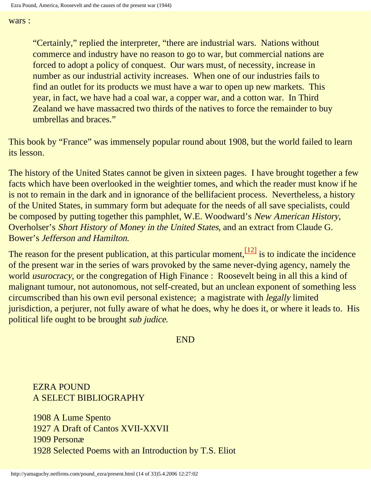"Certainly," replied the interpreter, "there are industrial wars. Nations without commerce and industry have no reason to go to war, but commercial nations are forced to adopt a policy of conquest. Our wars must, of necessity, increase in number as our industrial activity increases. When one of our industries fails to find an outlet for its products we must have a war to open up new markets. This year, in fact, we have had a coal war, a copper war, and a cotton war. In Third Zealand we have massacred two thirds of the natives to force the remainder to buy umbrellas and braces."

This book by "France" was immensely popular round about 1908, but the world failed to learn its lesson.

The history of the United States cannot be given in sixteen pages. I have brought together a few facts which have been overlooked in the weightier tomes, and which the reader must know if he is not to remain in the dark and in ignorance of the bellifacient process. Nevertheless, a history of the United States, in summary form but adequate for the needs of all save specialists, could be composed by putting together this pamphlet, W.E. Woodward's New American History, Overholser's Short History of Money in the United States, and an extract from Claude G. Bower's Jefferson and Hamilton.

The reason for the present publication, at this particular moment,  $\frac{12}{2}$  is to indicate the incidence of the present war in the series of wars provoked by the same never-dying agency, namely the world usurocracy, or the congregation of High Finance : Roosevelt being in all this a kind of malignant tumour, not autonomous, not self-created, but an unclean exponent of something less circumscribed than his own evil personal existence; a magistrate with legally limited jurisdiction, a perjurer, not fully aware of what he does, why he does it, or where it leads to. His political life ought to be brought sub judice.

#### END

## EZRA POUND A SELECT BIBLIOGRAPHY

1908 A Lume Spento 1927 A Draft of Cantos XVII-XXVII 1909 Personæ 1928 Selected Poems with an Introduction by T.S. Eliot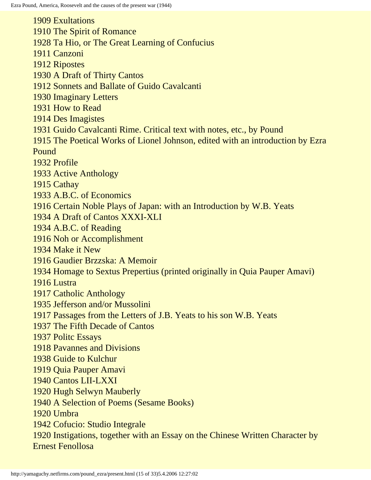1909 Exultations 1910 The Spirit of Romance 1928 Ta Hio, or The Great Learning of Confucius 1911 Canzoni 1912 Ripostes 1930 A Draft of Thirty Cantos 1912 Sonnets and Ballate of Guido Cavalcanti 1930 Imaginary Letters 1931 How to Read 1914 Des Imagistes 1931 Guido Cavalcanti Rime. Critical text with notes, etc., by Pound 1915 The Poetical Works of Lionel Johnson, edited with an introduction by Ezra Pound 1932 Profile 1933 Active Anthology 1915 Cathay 1933 A.B.C. of Economics 1916 Certain Noble Plays of Japan: with an Introduction by W.B. Yeats 1934 A Draft of Cantos XXXI-XLI 1934 A.B.C. of Reading 1916 Noh or Accomplishment 1934 Make it New 1916 Gaudier Brzzska: A Memoir 1934 Homage to Sextus Prepertius (printed originally in Quia Pauper Amavi) 1916 Lustra 1917 Catholic Anthology 1935 Jefferson and/or Mussolini 1917 Passages from the Letters of J.B. Yeats to his son W.B. Yeats 1937 The Fifth Decade of Cantos 1937 Politc Essays 1918 Pavannes and Divisions 1938 Guide to Kulchur 1919 Quia Pauper Amavi 1940 Cantos LII-LXXI 1920 Hugh Selwyn Mauberly 1940 A Selection of Poems (Sesame Books) 1920 Umbra 1942 Cofucio: Studio Integrale 1920 Instigations, together with an Essay on the Chinese Written Character by Ernest Fenollosa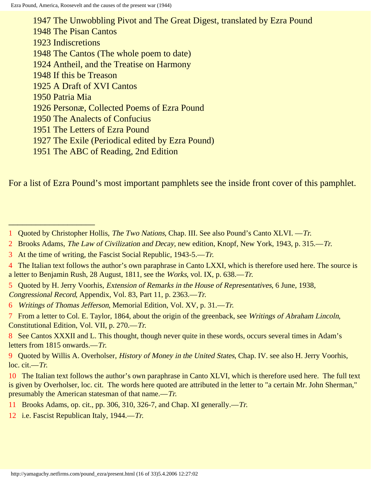1947 The Unwobbling Pivot and The Great Digest, translated by Ezra Pound 1948 The Pisan Cantos 1923 Indiscretions 1948 The Cantos (The whole poem to date) 1924 Antheil, and the Treatise on Harmony 1948 If this be Treason 1925 A Draft of XVI Cantos 1950 Patria Mia 1926 Personæ, Collected Poems of Ezra Pound 1950 The Analects of Confucius 1951 The Letters of Ezra Pound 1927 The Exile (Periodical edited by Ezra Pound) 1951 The ABC of Reading, 2nd Edition

For a list of Ezra Pound's most important pamphlets see the inside front cover of this pamphlet.

- <span id="page-15-3"></span>4 The Italian text follows the author's own paraphrase in Canto LXXI, which is therefore used here. The source is a letter to Benjamin Rush, 28 August, 1811, see the Works, vol. IX, p. 638.—Tr.
- <span id="page-15-4"></span>5 Quoted by H. Jerry Voorhis, Extension of Remarks in the House of Representatives, 6 June, 1938, Congressional Record, Appendix, Vol. 83, Part 11, p. 2363.—Tr.

<span id="page-15-11"></span>12 i.e. Fascist Republican Italy, 1944.—Tr.

 $\overline{\phantom{a}}$  , where  $\overline{\phantom{a}}$ 

<span id="page-15-0"></span><sup>1</sup> Quoted by Christopher Hollis, The Two Nations, Chap. III. See also Pound's Canto XLVI. — Tr.

<span id="page-15-1"></span><sup>2</sup> Brooks Adams, The Law of Civilization and Decay, new edition, Knopf, New York, 1943, p. 315.—Tr.

<span id="page-15-2"></span><sup>3</sup> At the time of writing, the Fascist Social Republic, 1943-5.—Tr.

<span id="page-15-5"></span><sup>6</sup> Writings of Thomas Jefferson, Memorial Edition, Vol. XV, p. 31.—Tr.

<span id="page-15-6"></span><sup>7</sup> From a letter to Col. E. Taylor, 1864, about the origin of the greenback, see Writings of Abraham Lincoln, Constitutional Edition, Vol. VII, p. 270.—Tr.

<span id="page-15-7"></span><sup>8</sup> See Cantos XXXII and L. This thought, though never quite in these words, occurs several times in Adam's letters from 1815 onwards.—Tr.

<span id="page-15-8"></span><sup>9</sup> Quoted by Willis A. Overholser, History of Money in the United States, Chap. IV. see also H. Jerry Voorhis, loc. cit.—Tr.

<span id="page-15-9"></span><sup>10</sup> The Italian text follows the author's own paraphrase in Canto XLVI, which is therefore used here. The full text is given by Overholser, loc. cit. The words here quoted are attributed in the letter to "a certain Mr. John Sherman," presumably the American statesman of that name.—Tr.

<span id="page-15-10"></span><sup>11</sup> Brooks Adams, op. cit., pp. 306, 310, 326-7, and Chap. XI generally.—Tr.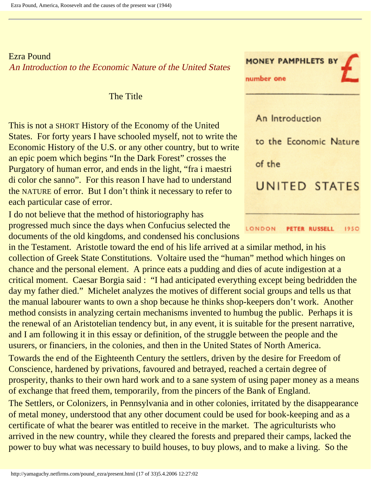Ezra Pound An Introduction to the Economic Nature of the United States

#### The Title

This is not a SHORT History of the Economy of the United States. For forty years I have schooled myself, not to write the Economic History of the U.S. or any other country, but to write an epic poem which begins "In the Dark Forest" crosses the Purgatory of human error, and ends in the light, "fra i maestri di color che sanno". For this reason I have had to understand the NATURE of error. But I don't think it necessary to refer to each particular case of error.

I do not believe that the method of historiography has progressed much since the days when Confucius selected the documents of the old kingdoms, and condensed his conclusions

in the Testament. Aristotle toward the end of his life arrived at a similar method, in his collection of Greek State Constitutions. Voltaire used the "human" method which hinges on chance and the personal element. A prince eats a pudding and dies of acute indigestion at a critical moment. Caesar Borgia said : "I had anticipated everything except being bedridden the day my father died." Michelet analyzes the motives of different social groups and tells us that the manual labourer wants to own a shop because he thinks shop-keepers don't work. Another method consists in analyzing certain mechanisms invented to humbug the public. Perhaps it is the renewal of an Aristotelian tendency but, in any event, it is suitable for the present narrative, and I am following it in this essay or definition, of the struggle between the people and the usurers, or financiers, in the colonies, and then in the United States of North America.

Towards the end of the Eighteenth Century the settlers, driven by the desire for Freedom of Conscience, hardened by privations, favoured and betrayed, reached a certain degree of prosperity, thanks to their own hard work and to a sane system of using paper money as a means of exchange that freed them, temporarily, from the pincers of the Bank of England.

The Settlers, or Colonizers, in Pennsylvania and in other colonies, irritated by the disappearance of metal money, understood that any other document could be used for book-keeping and as a certificate of what the bearer was entitled to receive in the market. The agriculturists who arrived in the new country, while they cleared the forests and prepared their camps, lacked the power to buy what was necessary to build houses, to buy plows, and to make a living. So the

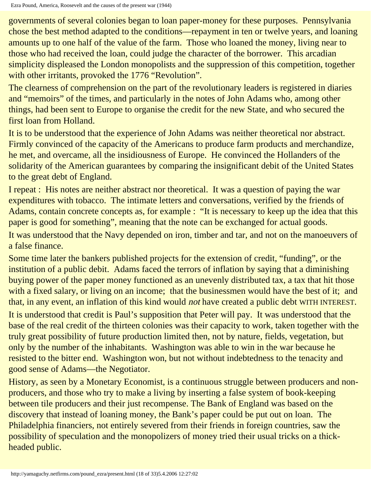governments of several colonies began to loan paper-money for these purposes. Pennsylvania chose the best method adapted to the conditions—repayment in ten or twelve years, and loaning amounts up to one half of the value of the farm. Those who loaned the money, living near to those who had received the loan, could judge the character of the borrower. This arcadian simplicity displeased the London monopolists and the suppression of this competition, together with other irritants, provoked the 1776 "Revolution".

The clearness of comprehension on the part of the revolutionary leaders is registered in diaries and "memoirs" of the times, and particularly in the notes of John Adams who, among other things, had been sent to Europe to organise the credit for the new State, and who secured the first loan from Holland.

It is to be understood that the experience of John Adams was neither theoretical nor abstract. Firmly convinced of the capacity of the Americans to produce farm products and merchandize, he met, and overcame, all the insidiousness of Europe. He convinced the Hollanders of the solidarity of the American guarantees by comparing the insignificant debit of the United States to the great debt of England.

I repeat : His notes are neither abstract nor theoretical. It was a question of paying the war expenditures with tobacco. The intimate letters and conversations, verified by the friends of Adams, contain concrete concepts as, for example : "It is necessary to keep up the idea that this paper is good for something", meaning that the note can be exchanged for actual goods.

It was understood that the Navy depended on iron, timber and tar, and not on the manoeuvers of a false finance.

Some time later the bankers published projects for the extension of credit, "funding", or the institution of a public debit. Adams faced the terrors of inflation by saying that a diminishing buying power of the paper money functioned as an unevenly distributed tax, a tax that hit those with a fixed salary, or living on an income; that the businessmen would have the best of it; and that, in any event, an inflation of this kind would not have created a public debt WITH INTEREST. It is understood that credit is Paul's supposition that Peter will pay. It was understood that the base of the real credit of the thirteen colonies was their capacity to work, taken together with the truly great possibility of future production limited then, not by nature, fields, vegetation, but only by the number of the inhabitants. Washington was able to win in the war because he resisted to the bitter end. Washington won, but not without indebtedness to the tenacity and good sense of Adams—the Negotiator.

History, as seen by a Monetary Economist, is a continuous struggle between producers and nonproducers, and those who try to make a living by inserting a false system of book-keeping between tile producers and their just recompense. The Bank of England was based on the discovery that instead of loaning money, the Bank's paper could be put out on loan. The Philadelphia financiers, not entirely severed from their friends in foreign countries, saw the possibility of speculation and the monopolizers of money tried their usual tricks on a thickheaded public.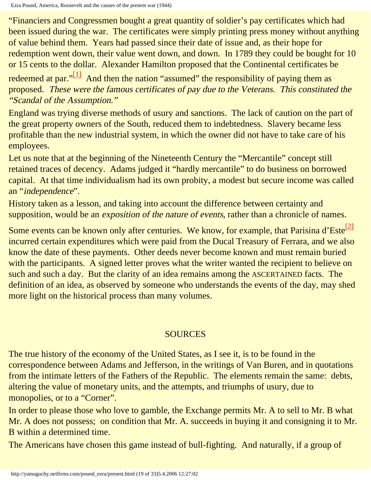"Financiers and Congressmen bought a great quantity of soldier's pay certificates which had been issued during the war. The certificates were simply printing press money without anything of value behind them. Years had passed since their date of issue and, as their hope for redemption went down, their value went down, and down. In 1789 they could be bought for 10 or 15 cents to the dollar. Alexander Hamilton proposed that the Continental certificates be

redeemed at par." $\frac{1}{1}$  And then the nation "assumed" the responsibility of paying them as proposed. These were the famous certificates of pay due to the Veterans. This constituted the "Scandal of the Assumption."

England was trying diverse methods of usury and sanctions. The lack of caution on the part of the great property owners of the South, reduced them to indebtedness. Slavery became less profitable than the new industrial system, in which the owner did not have to take care of his employees.

Let us note that at the beginning of the Nineteenth Century the "Mercantile" concept still retained traces of decency. Adams judged it "hardly mercantile" to do business on borrowed capital. At that time individualism had its own probity, a modest but secure income was called an "independence".

History taken as a lesson, and taking into account the difference between certainty and supposition, would be an exposition of the nature of events, rather than a chronicle of names.

Some events can be known only after centuries. We know, for example, that Parisina d'Este<sup>[\[2\]](#page-32-1)</sup> incurred certain expenditures which were paid from the Ducal Treasury of Ferrara, and we also know the date of these payments. Other deeds never become known and must remain buried with the participants. A signed letter proves what the writer wanted the recipient to believe on such and such a day. But the clarity of an idea remains among the ASCERTAINED facts. The definition of an idea, as observed by someone who understands the events of the day, may shed more light on the historical process than many volumes.

#### SOURCES

The true history of the economy of the United States, as I see it, is to be found in the correspondence between Adams and Jefferson, in the writings of Van Buren, and in quotations from the intimate letters of the Fathers of the Republic. The elements remain the same: debts, altering the value of monetary units, and the attempts, and triumphs of usury, due to monopolies, or to a "Corner".

In order to please those who love to gamble, the Exchange permits Mr. A to sell to Mr. B what Mr. A does not possess; on condition that Mr. A. succeeds in buying it and consigning it to Mr. B within a determined time.

The Americans have chosen this game instead of bull-fighting. And naturally, if a group of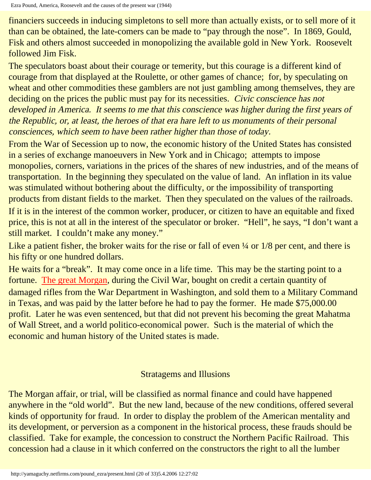financiers succeeds in inducing simpletons to sell more than actually exists, or to sell more of it than can be obtained, the late-comers can be made to "pay through the nose". In 1869, Gould, Fisk and others almost succeeded in monopolizing the available gold in New York. Roosevelt followed Jim Fisk.

The speculators boast about their courage or temerity, but this courage is a different kind of courage from that displayed at the Roulette, or other games of chance; for, by speculating on wheat and other commodities these gamblers are not just gambling among themselves, they are deciding on the prices the public must pay for its necessities. Civic conscience has not developed in America. It seems to me that this conscience was higher during the first years of the Republic, or, at least, the heroes of that era hare left to us monuments of their personal consciences, which seem to have been rather higher than those of today.

From the War of Secession up to now, the economic history of the United States has consisted in a series of exchange manoeuvers in New York and in Chicago; attempts to impose monopolies, corners, variations in the prices of the shares of new industries, and of the means of transportation. In the beginning they speculated on the value of land. An inflation in its value was stimulated without bothering about the difficulty, or the impossibility of transporting products from distant fields to the market. Then they speculated on the values of the railroads. If it is in the interest of the common worker, producer, or citizen to have an equitable and fixed price, this is not at all in the interest of the speculator or broker. "Hell", he says, "I don't want a still market. I couldn't make any money."

Like a patient fisher, the broker waits for the rise or fall of even  $\frac{1}{4}$  or  $\frac{1}{8}$  per cent, and there is his fifty or one hundred dollars.

He waits for a "break". It may come once in a life time. This may be the starting point to a fortune. [The great Morgan](http://yamaguchy.netfirms.com/myers/am_fortune/am_fortune_407.html), during the Civil War, bought on credit a certain quantity of damaged rifles from the War Department in Washington, and sold them to a Military Command in Texas, and was paid by the latter before he had to pay the former. He made \$75,000.00 profit. Later he was even sentenced, but that did not prevent his becoming the great Mahatma of Wall Street, and a world politico-economical power. Such is the material of which the economic and human history of the United states is made.

### Stratagems and Illusions

The Morgan affair, or trial, will be classified as normal finance and could have happened anywhere in the "old world". But the new land, because of the new conditions, offered several kinds of opportunity for fraud. In order to display the problem of the American mentality and its development, or perversion as a component in the historical process, these frauds should be classified. Take for example, the concession to construct the Northern Pacific Railroad. This concession had a clause in it which conferred on the constructors the right to all the lumber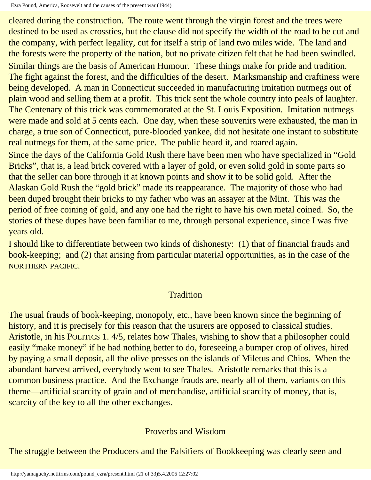cleared during the construction. The route went through the virgin forest and the trees were destined to be used as crossties, but the clause did not specify the width of the road to be cut and the company, with perfect legality, cut for itself a strip of land two miles wide. The land and the forests were the property of the nation, but no private citizen felt that he had been swindled. Similar things are the basis of American Humour. These things make for pride and tradition. The fight against the forest, and the difficulties of the desert. Marksmanship and craftiness were being developed. A man in Connecticut succeeded in manufacturing imitation nutmegs out of plain wood and selling them at a profit. This trick sent the whole country into peals of laughter. The Centenary of this trick was commemorated at the St. Louis Exposition. Imitation nutmegs were made and sold at 5 cents each. One day, when these souvenirs were exhausted, the man in charge, a true son of Connecticut, pure-blooded yankee, did not hesitate one instant to substitute real nutmegs for them, at the same price. The public heard it, and roared again.

Since the days of the California Gold Rush there have been men who have specialized in "Gold Bricks", that is, a lead brick covered with a layer of gold, or even solid gold in some parts so that the seller can bore through it at known points and show it to be solid gold. After the Alaskan Gold Rush the "gold brick" made its reappearance. The majority of those who had been duped brought their bricks to my father who was an assayer at the Mint. This was the period of free coining of gold, and any one had the right to have his own metal coined. So, the stories of these dupes have been familiar to me, through personal experience, since I was five years old.

I should like to differentiate between two kinds of dishonesty: (1) that of financial frauds and book-keeping; and (2) that arising from particular material opportunities, as in the case of the NORTHERN PACIFIC.

#### **Tradition**

The usual frauds of book-keeping, monopoly, etc., have been known since the beginning of history, and it is precisely for this reason that the usurers are opposed to classical studies. Aristotle, in his POLITICS 1. 4/5, relates how Thales, wishing to show that a philosopher could easily "make money" if he had nothing better to do, foreseeing a bumper crop of olives, hired by paying a small deposit, all the olive presses on the islands of Miletus and Chios. When the abundant harvest arrived, everybody went to see Thales. Aristotle remarks that this is a common business practice. And the Exchange frauds are, nearly all of them, variants on this theme—artificial scarcity of grain and of merchandise, artificial scarcity of money, that is, scarcity of the key to all the other exchanges.

#### Proverbs and Wisdom

The struggle between the Producers and the Falsifiers of Bookkeeping was clearly seen and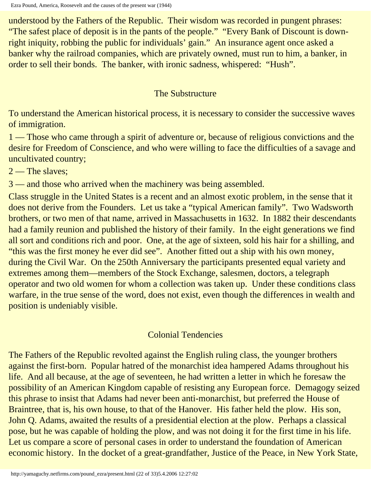understood by the Fathers of the Republic. Their wisdom was recorded in pungent phrases: "The safest place of deposit is in the pants of the people." "Every Bank of Discount is downright iniquity, robbing the public for individuals' gain." An insurance agent once asked a banker why the railroad companies, which are privately owned, must run to him, a banker, in order to sell their bonds. The banker, with ironic sadness, whispered: "Hush".

#### The Substructure

To understand the American historical process, it is necessary to consider the successive waves of immigration.

1 — Those who came through a spirit of adventure or, because of religious convictions and the desire for Freedom of Conscience, and who were willing to face the difficulties of a savage and uncultivated country;

 $2$  — The slaves:

3 — and those who arrived when the machinery was being assembled.

Class struggle in the United States is a recent and an almost exotic problem, in the sense that it does not derive from the Founders. Let us take a "typical American family". Two Wadsworth brothers, or two men of that name, arrived in Massachusetts in 1632. In 1882 their descendants had a family reunion and published the history of their family. In the eight generations we find all sort and conditions rich and poor. One, at the age of sixteen, sold his hair for a shilling, and "this was the first money he ever did see". Another fitted out a ship with his own money, during the Civil War. On the 250th Anniversary the participants presented equal variety and extremes among them—members of the Stock Exchange, salesmen, doctors, a telegraph operator and two old women for whom a collection was taken up. Under these conditions class warfare, in the true sense of the word, does not exist, even though the differences in wealth and position is undeniably visible.

#### Colonial Tendencies

The Fathers of the Republic revolted against the English ruling class, the younger brothers against the first-born. Popular hatred of the monarchist idea hampered Adams throughout his life. And all because, at the age of seventeen, he had written a letter in which he foresaw the possibility of an American Kingdom capable of resisting any European force. Demagogy seized this phrase to insist that Adams had never been anti-monarchist, but preferred the House of Braintree, that is, his own house, to that of the Hanover. His father held the plow. His son, John Q. Adams, awaited the results of a presidential election at the plow. Perhaps a classical pose, but he was capable of holding the plow, and was not doing it for the first time in his life. Let us compare a score of personal cases in order to understand the foundation of American economic history. In the docket of a great-grandfather, Justice of the Peace, in New York State,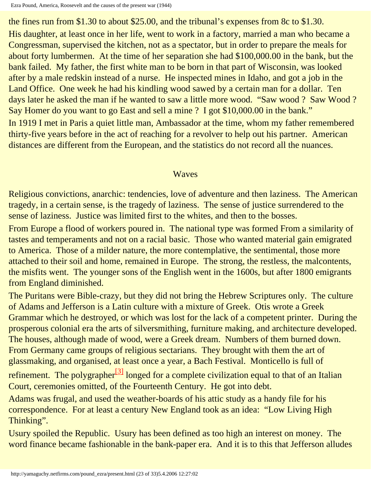the fines run from \$1.30 to about \$25.00, and the tribunal's expenses from 8c to \$1.30. His daughter, at least once in her life, went to work in a factory, married a man who became a Congressman, supervised the kitchen, not as a spectator, but in order to prepare the meals for about forty lumbermen. At the time of her separation she had \$100,000.00 in the bank, but the bank failed. My father, the first white man to be born in that part of Wisconsin, was looked after by a male redskin instead of a nurse. He inspected mines in Idaho, and got a job in the Land Office. One week he had his kindling wood sawed by a certain man for a dollar. Ten days later he asked the man if he wanted to saw a little more wood. "Saw wood? Saw Wood? Say Homer do you want to go East and sell a mine ? I got \$10,000.00 in the bank." In 1919 I met in Paris a quiet little man, Ambassador at the time, whom my father remembered thirty-five years before in the act of reaching for a revolver to help out his partner. American distances are different from the European, and the statistics do not record all the nuances.

#### Waves

Religious convictions, anarchic: tendencies, love of adventure and then laziness. The American tragedy, in a certain sense, is the tragedy of laziness. The sense of justice surrendered to the sense of laziness. Justice was limited first to the whites, and then to the bosses.

From Europe a flood of workers poured in. The national type was formed From a similarity of tastes and temperaments and not on a racial basic. Those who wanted material gain emigrated to America. Those of a milder nature, the more contemplative, the sentimental, those more attached to their soil and home, remained in Europe. The strong, the restless, the malcontents, the misfits went. The younger sons of the English went in the 1600s, but after 1800 emigrants from England diminished.

The Puritans were Bible-crazy, but they did not bring the Hebrew Scriptures only. The culture of Adams and Jefferson is a Latin culture with a mixture of Greek. Otis wrote a Greek Grammar which he destroyed, or which was lost for the lack of a competent printer. During the prosperous colonial era the arts of silversmithing, furniture making, and architecture developed. The houses, although made of wood, were a Greek dream. Numbers of them burned down. From Germany came groups of religious sectarians. They brought with them the art of glassmaking, and organised, at least once a year, a Bach Festival. Monticello is full of

refinement. The polygrapher<sup>[3]</sup> longed for a complete civilization equal to that of an Italian Court, ceremonies omitted, of the Fourteenth Century. He got into debt.

Adams was frugal, and used the weather-boards of his attic study as a handy file for his correspondence. For at least a century New England took as an idea: "Low Living High Thinking".

Usury spoiled the Republic. Usury has been defined as too high an interest on money. The word finance became fashionable in the bank-paper era. And it is to this that Jefferson alludes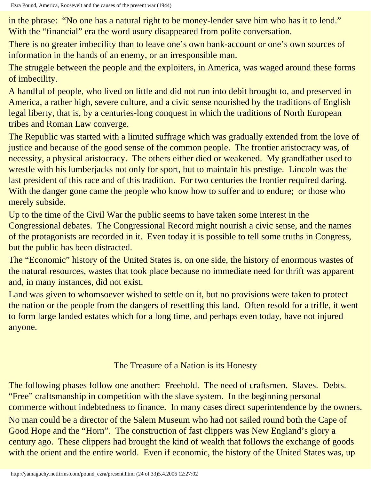in the phrase: "No one has a natural right to be money-lender save him who has it to lend." With the "financial" era the word usury disappeared from polite conversation.

There is no greater imbecility than to leave one's own bank-account or one's own sources of information in the hands of an enemy, or an irresponsible man.

The struggle between the people and the exploiters, in America, was waged around these forms of imbecility.

A handful of people, who lived on little and did not run into debit brought to, and preserved in America, a rather high, severe culture, and a civic sense nourished by the traditions of English legal liberty, that is, by a centuries-long conquest in which the traditions of North European tribes and Roman Law converge.

The Republic was started with a limited suffrage which was gradually extended from the love of justice and because of the good sense of the common people. The frontier aristocracy was, of necessity, a physical aristocracy. The others either died or weakened. My grandfather used to wrestle with his lumberjacks not only for sport, but to maintain his prestige. Lincoln was the last president of this race and of this tradition. For two centuries the frontier required daring. With the danger gone came the people who know how to suffer and to endure; or those who merely subside.

Up to the time of the Civil War the public seems to have taken some interest in the Congressional debates. The Congressional Record might nourish a civic sense, and the names of the protagonists are recorded in it. Even today it is possible to tell some truths in Congress, but the public has been distracted.

The "Economic" history of the United States is, on one side, the history of enormous wastes of the natural resources, wastes that took place because no immediate need for thrift was apparent and, in many instances, did not exist.

Land was given to whomsoever wished to settle on it, but no provisions were taken to protect the nation or the people from the dangers of resettling this land. Often resold for a trifle, it went to form large landed estates which for a long time, and perhaps even today, have not injured anyone.

#### The Treasure of a Nation is its Honesty

The following phases follow one another: Freehold. The need of craftsmen. Slaves. Debts. "Free" craftsmanship in competition with the slave system. In the beginning personal commerce without indebtedness to finance. In many cases direct superintendence by the owners. No man could be a director of the Salem Museum who had not sailed round both the Cape of Good Hope and the "Horn". The construction of fast clippers was New England's glory a century ago. These clippers had brought the kind of wealth that follows the exchange of goods with the orient and the entire world. Even if economic, the history of the United States was, up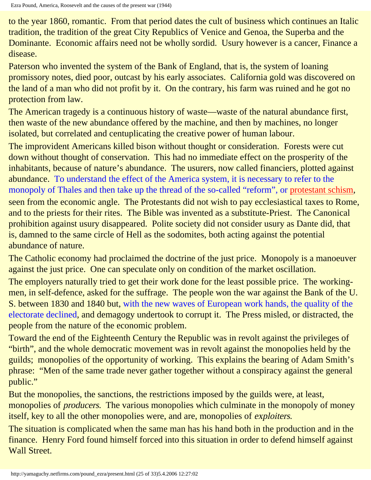to the year 1860, romantic. From that period dates the cult of business which continues an Italic tradition, the tradition of the great City Republics of Venice and Genoa, the Superba and the Dominante. Economic affairs need not be wholly sordid. Usury however is a cancer, Finance a disease.

Paterson who invented the system of the Bank of England, that is, the system of loaning promissory notes, died poor, outcast by his early associates. California gold was discovered on the land of a man who did not profit by it. On the contrary, his farm was ruined and he got no protection from law.

The American tragedy is a continuous history of waste—waste of the natural abundance first, then waste of the new abundance offered by the machine, and then by machines, no longer isolated, but correlated and centuplicating the creative power of human labour.

The improvident Americans killed bison without thought or consideration. Forests were cut down without thought of conservation. This had no immediate effect on the prosperity of the inhabitants, because of nature's abundance. The usurers, now called financiers, plotted against abundance. To understand the effect of the America system, it is necessary to refer to the monopoly of Thales and then take up the thread of the so-called "reform", or [protestant schism](http://yamaguchy.netfirms.com/dennis/fascism_06.html), seen from the economic angle. The Protestants did not wish to pay ecclesiastical taxes to Rome, and to the priests for their rites. The Bible was invented as a substitute-Priest. The Canonical prohibition against usury disappeared. Polite society did not consider usury as Dante did, that is, damned to the same circle of Hell as the sodomites, both acting against the potential abundance of nature.

The Catholic economy had proclaimed the doctrine of the just price. Monopoly is a manoeuver against the just price. One can speculate only on condition of the market oscillation.

The employers naturally tried to get their work done for the least possible price. The workingmen, in self-defence, asked for the suffrage. The people won the war against the Bank of the U. S. between 1830 and 1840 but, with the new waves of European work hands, the quality of the electorate declined, and demagogy undertook to corrupt it. The Press misled, or distracted, the people from the nature of the economic problem.

Toward the end of the Eighteenth Century the Republic was in revolt against the privileges of "birth", and the whole democratic movement was in revolt against the monopolies held by the guilds; monopolies of the opportunity of working. This explains the bearing of Adam Smith's phrase: "Men of the same trade never gather together without a conspiracy against the general public."

But the monopolies, the sanctions, the restrictions imposed by the guilds were, at least, monopolies of *producers*. The various monopolies which culminate in the monopoly of money itself, key to all the other monopolies were, and are, monopolies of exploiters.

The situation is complicated when the same man has his hand both in the production and in the finance. Henry Ford found himself forced into this situation in order to defend himself against Wall Street.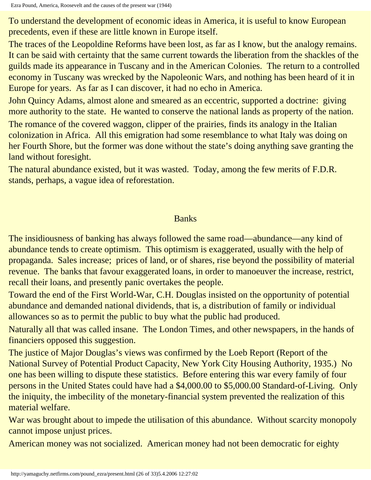To understand the development of economic ideas in America, it is useful to know European precedents, even if these are little known in Europe itself.

The traces of the Leopoldine Reforms have been lost, as far as I know, but the analogy remains. It can be said with certainty that the same current towards the liberation from the shackles of the guilds made its appearance in Tuscany and in the American Colonies. The return to a controlled economy in Tuscany was wrecked by the Napoleonic Wars, and nothing has been heard of it in Europe for years. As far as I can discover, it had no echo in America.

John Quincy Adams, almost alone and smeared as an eccentric, supported a doctrine: giving more authority to the state. He wanted to conserve the national lands as property of the nation.

The romance of the covered waggon, clipper of the prairies, finds its analogy in the Italian colonization in Africa. All this emigration had some resemblance to what Italy was doing on her Fourth Shore, but the former was done without the state's doing anything save granting the land without foresight.

The natural abundance existed, but it was wasted. Today, among the few merits of F.D.R. stands, perhaps, a vague idea of reforestation.

#### Banks

The insidiousness of banking has always followed the same road—abundance—any kind of abundance tends to create optimism. This optimism is exaggerated, usually with the help of propaganda. Sales increase; prices of land, or of shares, rise beyond the possibility of material revenue. The banks that favour exaggerated loans, in order to manoeuver the increase, restrict, recall their loans, and presently panic overtakes the people.

Toward the end of the First World-War, C.H. Douglas insisted on the opportunity of potential abundance and demanded national dividends, that is, a distribution of family or individual allowances so as to permit the public to buy what the public had produced.

Naturally all that was called insane. The London Times, and other newspapers, in the hands of financiers opposed this suggestion.

The justice of Major Douglas's views was confirmed by the Loeb Report (Report of the National Survey of Potential Product Capacity, New York City Housing Authority, 1935.) No one has been willing to dispute these statistics. Before entering this war every family of four persons in the United States could have had a \$4,000.00 to \$5,000.00 Standard-of-Living. Only the iniquity, the imbecility of the monetary-financial system prevented the realization of this material welfare.

War was brought about to impede the utilisation of this abundance. Without scarcity monopoly cannot impose unjust prices.

American money was not socialized. American money had not been democratic for eighty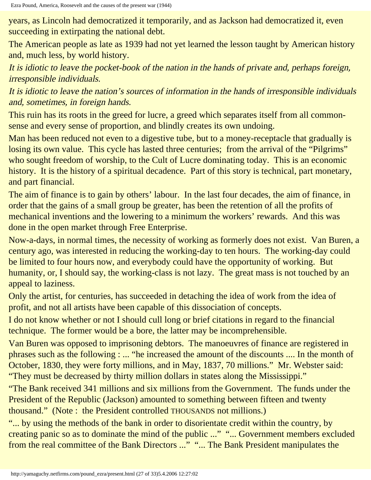years, as Lincoln had democratized it temporarily, and as Jackson had democratized it, even succeeding in extirpating the national debt.

The American people as late as 1939 had not yet learned the lesson taught by American history and, much less, by world history.

It is idiotic to leave the pocket-book of the nation in the hands of private and, perhaps foreign, irresponsible individuals.

It is idiotic to leave the nation's sources of information in the hands of irresponsible individuals and, sometimes, in foreign hands.

This ruin has its roots in the greed for lucre, a greed which separates itself from all commonsense and every sense of proportion, and blindly creates its own undoing.

Man has been reduced not even to a digestive tube, but to a money-receptacle that gradually is losing its own value. This cycle has lasted three centuries; from the arrival of the "Pilgrims" who sought freedom of worship, to the Cult of Lucre dominating today. This is an economic history. It is the history of a spiritual decadence. Part of this story is technical, part monetary, and part financial.

The aim of finance is to gain by others' labour. In the last four decades, the aim of finance, in order that the gains of a small group be greater, has been the retention of all the profits of mechanical inventions and the lowering to a minimum the workers' rewards. And this was done in the open market through Free Enterprise.

Now-a-days, in normal times, the necessity of working as formerly does not exist. Van Buren, a century ago, was interested in reducing the working-day to ten hours. The working-day could be limited to four hours now, and everybody could have the opportunity of working. But humanity, or, I should say, the working-class is not lazy. The great mass is not touched by an appeal to laziness.

Only the artist, for centuries, has succeeded in detaching the idea of work from the idea of profit, and not all artists have been capable of this dissociation of concepts.

I do not know whether or not I should cull long or brief citations in regard to the financial technique. The former would be a bore, the latter may be incomprehensible.

Van Buren was opposed to imprisoning debtors. The manoeuvres of finance are registered in phrases such as the following : ... "he increased the amount of the discounts .... In the month of October, 1830, they were forty millions, and in May, 1837, 70 millions." Mr. Webster said: "They must be decreased by thirty million dollars in states along the Mississippi."

"The Bank received 341 millions and six millions from the Government. The funds under the President of the Republic (Jackson) amounted to something between fifteen and twenty thousand." (Note : the President controlled THOUSANDS not millions.)

"... by using the methods of the bank in order to disorientate credit within the country, by creating panic so as to dominate the mind of the public ..." "... Government members excluded from the real committee of the Bank Directors ..." "... The Bank President manipulates the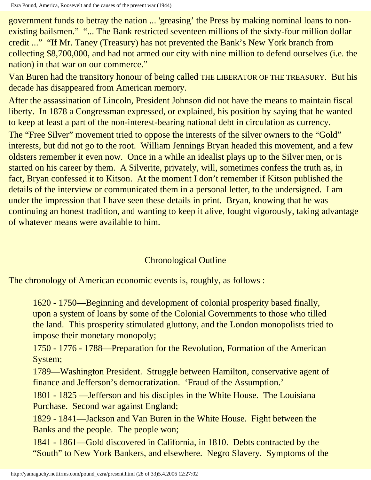government funds to betray the nation ... 'greasing' the Press by making nominal loans to nonexisting bailsmen." "... The Bank restricted seventeen millions of the sixty-four million dollar credit ..." "If Mr. Taney (Treasury) has not prevented the Bank's New York branch from collecting \$8,700,000, and had not armed our city with nine million to defend ourselves (i.e. the nation) in that war on our commerce."

Van Buren had the transitory honour of being called THE LIBERATOR OF THE TREASURY. But his decade has disappeared from American memory.

After the assassination of Lincoln, President Johnson did not have the means to maintain fiscal liberty. In 1878 a Congressman expressed, or explained, his position by saying that he wanted to keep at least a part of the non-interest-bearing national debt in circulation as currency.

The "Free Silver" movement tried to oppose the interests of the silver owners to the "Gold" interests, but did not go to the root. William Jennings Bryan headed this movement, and a few oldsters remember it even now. Once in a while an idealist plays up to the Silver men, or is started on his career by them. A Silverite, privately, will, sometimes confess the truth as, in fact, Bryan confessed it to Kitson. At the moment I don't remember if Kitson published the details of the interview or communicated them in a personal letter, to the undersigned. I am under the impression that I have seen these details in print. Bryan, knowing that he was continuing an honest tradition, and wanting to keep it alive, fought vigorously, taking advantage of whatever means were available to him.

#### Chronological Outline

The chronology of American economic events is, roughly, as follows :

1620 - 1750—Beginning and development of colonial prosperity based finally, upon a system of loans by some of the Colonial Governments to those who tilled the land. This prosperity stimulated gluttony, and the London monopolists tried to impose their monetary monopoly;

1750 - 1776 - 1788—Preparation for the Revolution, Formation of the American System;

1789—Washington President. Struggle between Hamilton, conservative agent of finance and Jefferson's democratization. 'Fraud of the Assumption.'

1801 - 1825 —Jefferson and his disciples in the White House. The Louisiana Purchase. Second war against England;

1829 - 1841—Jackson and Van Buren in the White House. Fight between the Banks and the people. The people won;

1841 - 1861—Gold discovered in California, in 1810. Debts contracted by the "South" to New York Bankers, and elsewhere. Negro Slavery. Symptoms of the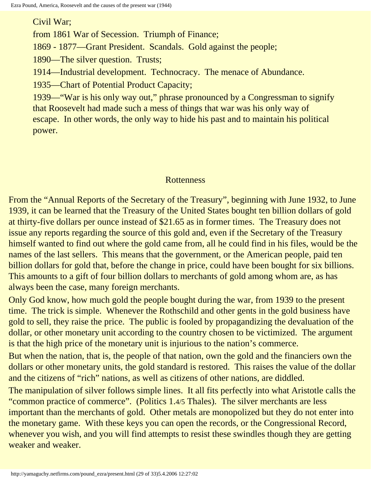Civil War;

from 1861 War of Secession. Triumph of Finance;

1869 - 1877—Grant President. Scandals. Gold against the people;

1890—The silver question. Trusts;

1914—Industrial development. Technocracy. The menace of Abundance.

1935—Chart of Potential Product Capacity;

1939—"War is his only way out," phrase pronounced by a Congressman to signify that Roosevelt had made such a mess of things that war was his only way of escape. In other words, the only way to hide his past and to maintain his political power.

#### **Rottenness**

From the "Annual Reports of the Secretary of the Treasury", beginning with June 1932, to June 1939, it can be learned that the Treasury of the United States bought ten billion dollars of gold at thirty-five dollars per ounce instead of \$21.65 as in former times. The Treasury does not issue any reports regarding the source of this gold and, even if the Secretary of the Treasury himself wanted to find out where the gold came from, all he could find in his files, would be the names of the last sellers. This means that the government, or the American people, paid ten billion dollars for gold that, before the change in price, could have been bought for six billions. This amounts to a gift of four billion dollars to merchants of gold among whom are, as has always been the case, many foreign merchants.

Only God know, how much gold the people bought during the war, from 1939 to the present time. The trick is simple. Whenever the Rothschild and other gents in the gold business have gold to sell, they raise the price. The public is fooled by propagandizing the devaluation of the dollar, or other monetary unit according to the country chosen to be victimized. The argument is that the high price of the monetary unit is injurious to the nation's commerce.

But when the nation, that is, the people of that nation, own the gold and the financiers own the dollars or other monetary units, the gold standard is restored. This raises the value of the dollar and the citizens of "rich" nations, as well as citizens of other nations, are diddled.

The manipulation of silver follows simple lines. It all fits perfectly into what Aristotle calls the "common practice of commerce". (Politics 1.4/5 Thales). The silver merchants are less important than the merchants of gold. Other metals are monopolized but they do not enter into the monetary game. With these keys you can open the records, or the Congressional Record, whenever you wish, and you will find attempts to resist these swindles though they are getting weaker and weaker.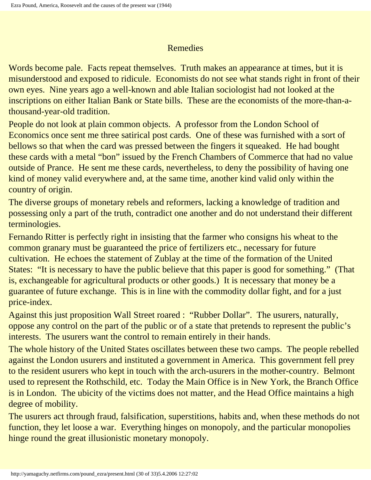#### Remedies

Words become pale. Facts repeat themselves. Truth makes an appearance at times, but it is misunderstood and exposed to ridicule. Economists do not see what stands right in front of their own eyes. Nine years ago a well-known and able Italian sociologist had not looked at the inscriptions on either Italian Bank or State bills. These are the economists of the more-than-athousand-year-old tradition.

People do not look at plain common objects. A professor from the London School of Economics once sent me three satirical post cards. One of these was furnished with a sort of bellows so that when the card was pressed between the fingers it squeaked. He had bought these cards with a metal "bon" issued by the French Chambers of Commerce that had no value outside of Prance. He sent me these cards, nevertheless, to deny the possibility of having one kind of money valid everywhere and, at the same time, another kind valid only within the country of origin.

The diverse groups of monetary rebels and reformers, lacking a knowledge of tradition and possessing only a part of the truth, contradict one another and do not understand their different terminologies.

Fernando Ritter is perfectly right in insisting that the farmer who consigns his wheat to the common granary must be guaranteed the price of fertilizers etc., necessary for future cultivation. He echoes the statement of Zublay at the time of the formation of the United States: "It is necessary to have the public believe that this paper is good for something." (That is, exchangeable for agricultural products or other goods.) It is necessary that money be a guarantee of future exchange. This is in line with the commodity dollar fight, and for a just price-index.

Against this just proposition Wall Street roared : "Rubber Dollar". The usurers, naturally, oppose any control on the part of the public or of a state that pretends to represent the public's interests. The usurers want the control to remain entirely in their hands.

The whole history of the United States oscillates between these two camps. The people rebelled against the London usurers and instituted a government in America. This government fell prey to the resident usurers who kept in touch with the arch-usurers in the mother-country. Belmont used to represent the Rothschild, etc. Today the Main Office is in New York, the Branch Office is in London. The ubicity of the victims does not matter, and the Head Office maintains a high degree of mobility.

The usurers act through fraud, falsification, superstitions, habits and, when these methods do not function, they let loose a war. Everything hinges on monopoly, and the particular monopolies hinge round the great illusionistic monetary monopoly.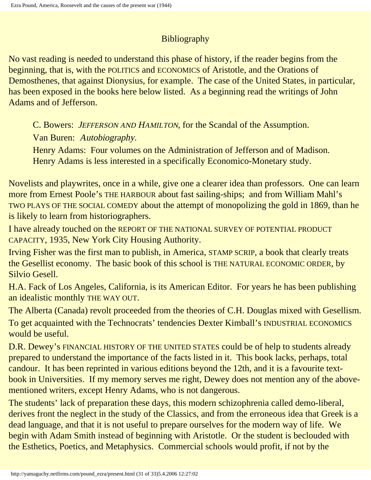## **Bibliography**

No vast reading is needed to understand this phase of history, if the reader begins from the beginning, that is, with the POLITICS and ECONOMICS of Aristotle, and the Orations of Demosthenes, that against Dionysius, for example. The case of the United States, in particular, has been exposed in the books here below listed. As a beginning read the writings of John Adams and of Jefferson.

C. Bowers: <sup>J</sup>EFFERSON AND HAMILTON, for the Scandal of the Assumption. Van Buren: Autobiography.

Henry Adams: Four volumes on the Administration of Jefferson and of Madison. Henry Adams is less interested in a specifically Economico-Monetary study.

Novelists and playwrites, once in a while, give one a clearer idea than professors. One can learn more from Ernest Poole's THE HARBOUR about fast sailing-ships; and from William Mahl's TWO PLAYS OF THE SOCIAL COMEDY about the attempt of monopolizing the gold in 1869, than he is likely to learn from historiographers.

I have already touched on the REPORT OF THE NATIONAL SURVEY OF POTENTIAL PRODUCT CAPACITY, 1935, New York City Housing Authority.

Irving Fisher was the first man to publish, in America, STAMP SCRIP, a book that clearly treats the Gesellist economy. The basic book of this school is THE NATURAL ECONOMIC ORDER, by Silvio Gesell.

H.A. Fack of Los Angeles, California, is its American Editor. For years he has been publishing an idealistic monthly THE WAY OUT.

The Alberta (Canada) revolt proceeded from the theories of C.H. Douglas mixed with Gesellism. To get acquainted with the Technocrats' tendencies Dexter Kimball's INDUSTRIAL ECONOMICS would be useful.

D.R. Dewey's FINANCIAL HISTORY OF THE UNITED STATES could be of help to students already prepared to understand the importance of the facts listed in it. This book lacks, perhaps, total candour. It has been reprinted in various editions beyond the 12th, and it is a favourite textbook in Universities. If my memory serves me right, Dewey does not mention any of the abovementioned writers, except Henry Adams, who is not dangerous.

The students' lack of preparation these days, this modern schizophrenia called demo-liberal, derives front the neglect in the study of the Classics, and from the erroneous idea that Greek is a dead language, and that it is not useful to prepare ourselves for the modern way of life. We begin with Adam Smith instead of beginning with Aristotle. Or the student is beclouded with the Esthetics, Poetics, and Metaphysics. Commercial schools would profit, if not by the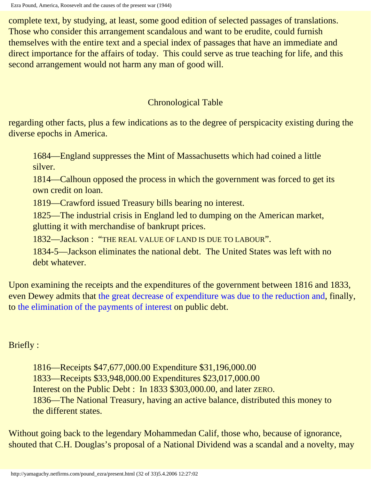complete text, by studying, at least, some good edition of selected passages of translations. Those who consider this arrangement scandalous and want to be erudite, could furnish themselves with the entire text and a special index of passages that have an immediate and direct importance for the affairs of today. This could serve as true teaching for life, and this second arrangement would not harm any man of good will.

## Chronological Table

regarding other facts, plus a few indications as to the degree of perspicacity existing during the diverse epochs in America.

1684—England suppresses the Mint of Massachusetts which had coined a little silver.

1814—Calhoun opposed the process in which the government was forced to get its own credit on loan.

1819—Crawford issued Treasury bills bearing no interest.

1825—The industrial crisis in England led to dumping on the American market, glutting it with merchandise of bankrupt prices.

1832—Jackson : "THE REAL VALUE OF LAND IS DUE TO LABOUR".

1834-5—Jackson eliminates the national debt. The United States was left with no debt whatever.

Upon examining the receipts and the expenditures of the government between 1816 and 1833, even Dewey admits that the great decrease of expenditure was due to the reduction and, finally, to the elimination of the payments of interest on public debt.

Briefly :

1816—Receipts \$47,677,000.00 Expenditure \$31,196,000.00 1833—Receipts \$33,948,000.00 Expenditures \$23,017,000.00 Interest on the Public Debt : In 1833 \$303,000.00, and later ZERO. 1836—The National Treasury, having an active balance, distributed this money to the different states.

Without going back to the legendary Mohammedan Calif, those who, because of ignorance, shouted that C.H. Douglas's proposal of a National Dividend was a scandal and a novelty, may